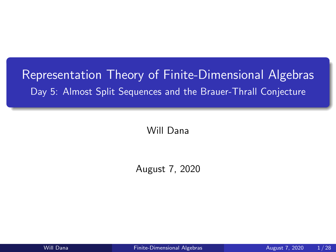# <span id="page-0-0"></span>Representation Theory of Finite-Dimensional Algebras Day 5: Almost Split Sequences and the Brauer-Thrall Conjecture

Will Dana

August 7, 2020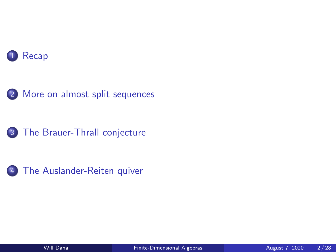







[The Auslander-Reiten quiver](#page-17-0)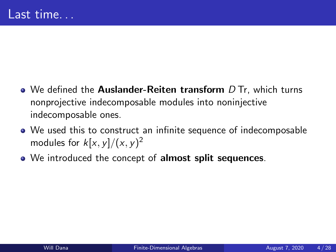- <span id="page-2-0"></span> $\bullet$  We defined the **Auslander-Reiten transform**  $D$  Tr, which turns nonprojective indecomposable modules into noninjective indecomposable ones.
- We used this to construct an infinite sequence of indecomposable modules for  $k[x,y]/(x,y)^2$
- We introduced the concept of almost split sequences.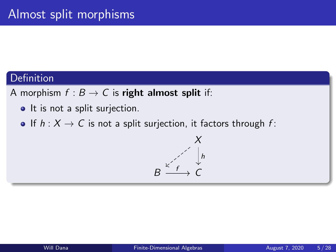A morphism  $f : B \to C$  is right almost split if:

- It is not a split surjection.
- If  $h: X \to C$  is not a split surjection, it factors through f:

$$
X
$$
\n
$$
B \xrightarrow{\kappa^2 \atop \kappa^2} C
$$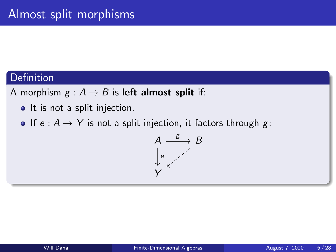A morphism  $g : A \rightarrow B$  is left almost split if:

- It is not a split injection.
- If  $e : A \rightarrow Y$  is not a split injection, it factors through g:

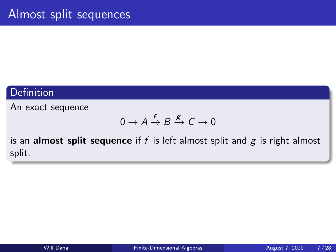An exact sequence

$$
0 \to A \xrightarrow{f} B \xrightarrow{g} C \to 0
$$

is an almost split sequence if  $f$  is left almost split and  $g$  is right almost split.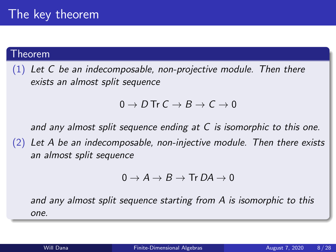#### Theorem

 $(1)$  Let C be an indecomposable, non-projective module. Then there exists an almost split sequence

### $0 \to D$  Tr  $C \to B \to C \to 0$

and any almost split sequence ending at C is isomorphic to this one.

 $(2)$  Let A be an indecomposable, non-injective module. Then there exists an almost split sequence

$$
0 \to A \to B \to \text{Tr } D A \to 0
$$

and any almost split sequence starting from A is isomorphic to this one.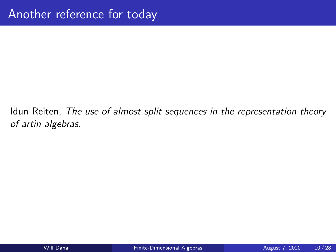<span id="page-7-0"></span>Idun Reiten, The use of almost split sequences in the representation theory of artin algebras.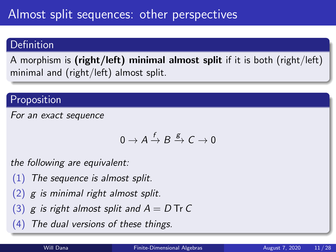A morphism is (right/left) minimal almost split if it is both (right/left) minimal and (right/left) almost split.

# Proposition

For an exact sequence

$$
0\to A\stackrel{f}{\to}B\stackrel{g}{\to}C\to 0
$$

the following are equivalent:

- (1) The sequence is almost split.
- $(2)$  g is minimal right almost split.
- (3) g is right almost split and  $A = D$  Tr C
- (4) The dual versions of these things.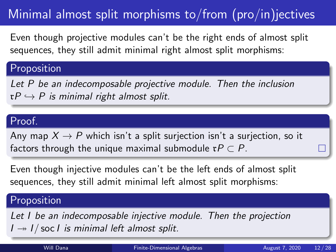# Minimal almost split morphisms to/from  $(pro/in)$  jectives

Even though projective modules can't be the right ends of almost split sequences, they still admit minimal right almost split morphisms:

## Proposition

Let P be an indecomposable projective module. Then the inclusion  $\mathfrak{r}P \hookrightarrow P$  is minimal right almost split.

## Proof.

Any map  $X \rightarrow P$  which isn't a split surjection isn't a surjection, so it factors through the unique maximal submodule  $\mathfrak{r}P \subset P$ .

Even though injective modules can't be the left ends of almost split sequences, they still admit minimal left almost split morphisms:

## Proposition

Let I be an indecomposable injective module. Then the projection  $I \rightarrow I /$  soc *I* is minimal left almost split.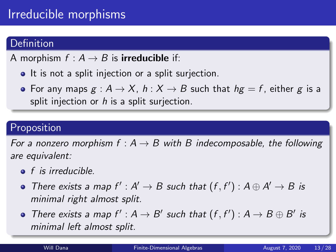# Irreducible morphisms

## **Definition**

A morphism  $f : A \rightarrow B$  is **irreducible** if:

- It is not a split injection or a split surjection.
- For any maps  $g : A \rightarrow X$ ,  $h : X \rightarrow B$  such that  $hg = f$ , either g is a split injection or  $h$  is a split surjection.

## Proposition

For a nonzero morphism  $f : A \rightarrow B$  with B indecomposable, the following are equivalent:

- $\bullet$  f is irreducible.
- There exists a map  $f': A' \to B$  such that  $(f, f'): A \oplus A' \to B$  is minimal right almost split.
- There exists a map  $f' : A \rightarrow B'$  such that  $(f, f') : A \rightarrow B \oplus B'$  is minimal left almost split.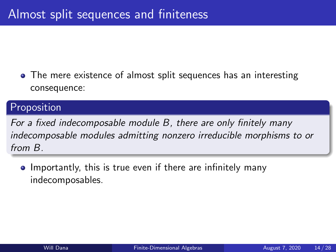• The mere existence of almost split sequences has an interesting consequence:

## Proposition

For a fixed indecomposable module B, there are only finitely many indecomposable modules admitting nonzero irreducible morphisms to or from B.

• Importantly, this is true even if there are infinitely many indecomposables.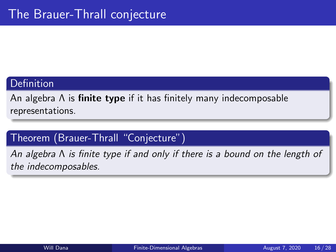<span id="page-12-0"></span>An algebra  $\Lambda$  is **finite type** if it has finitely many indecomposable representations.

## Theorem (Brauer-Thrall "Conjecture")

An algebra Λ is finite type if and only if there is a bound on the length of the indecomposables.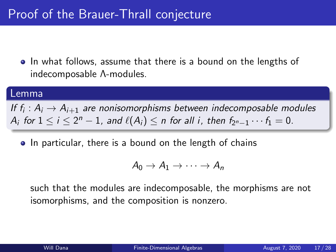• In what follows, assume that there is a bound on the lengths of indecomposable Λ-modules.

#### Lemma

If  $f_i: A_i \rightarrow A_{i+1}$  are nonisomorphisms between indecomposable modules  $A_i$  for  $1 \le i \le 2^n - 1$ , and  $\ell(A_i) \le n$  for all i, then  $f_{2^n-1} \cdots f_1 = 0$ .

• In particular, there is a bound on the length of chains

$$
A_0 \to A_1 \to \cdots \to A_n
$$

such that the modules are indecomposable, the morphisms are not isomorphisms, and the composition is nonzero.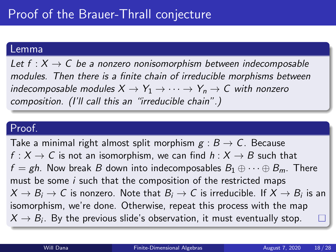#### Lemma

Let  $f: X \to C$  be a nonzero nonisomorphism between indecomposable modules. Then there is a finite chain of irreducible morphisms between indecomposable modules  $X \to Y_1 \to \cdots \to Y_n \to C$  with nonzero composition. (I'll call this an "irreducible chain".)

### Proof.

Take a minimal right almost split morphism  $g : B \to C$ . Because  $f: X \to C$  is not an isomorphism, we can find  $h: X \to B$  such that  $f = gh$ . Now break B down into indecomposables  $B_1 \oplus \cdots \oplus B_m$ . There must be some *i* such that the composition of the restricted maps  $X \to B_i \to C$  is nonzero. Note that  $B_i \to C$  is irreducible. If  $X \to B_i$  is an isomorphism, we're done. Otherwise, repeat this process with the map  $X \rightarrow B_i.$  By the previous slide's observation, it must eventually stop.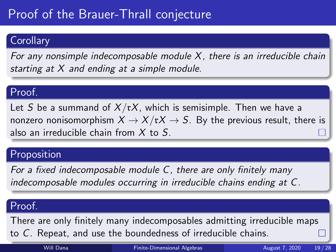# Proof of the Brauer-Thrall conjecture

## **Corollary**

For any nonsimple indecomposable module  $X$ , there is an irreducible chain starting at  $X$  and ending at a simple module.

### Proof.

Let S be a summand of  $X/\mathfrak{r}X$ , which is semisimple. Then we have a nonzero nonisomorphism  $X \to X/\mathfrak{r}X \to S$ . By the previous result, there is also an irreducible chain from  $X$  to S.

## Proposition

For a fixed indecomposable module C, there are only finitely many indecomposable modules occurring in irreducible chains ending at C.

# Proof.

There are only finitely many indecomposables admitting irreducible maps to C. Repeat, and use the boundedness of irreducible chains.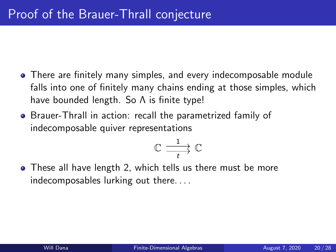- There are finitely many simples, and every indecomposable module falls into one of finitely many chains ending at those simples, which have bounded length. So Λ is finite type!
- Brauer-Thrall in action: recall the parametrized family of indecomposable quiver representations

$$
\mathbb{C} \xrightarrow[t]{\hspace{0.5cm}1} \mathbb{C}
$$

• These all have length 2, which tells us there must be more indecomposables lurking out there. . . .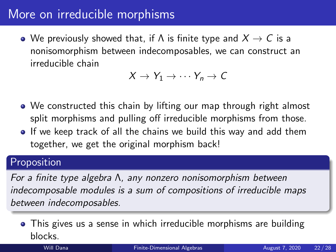# <span id="page-17-0"></span>More on irreducible morphisms

• We previously showed that, if  $\Lambda$  is finite type and  $X \to C$  is a nonisomorphism between indecomposables, we can construct an irreducible chain

$$
X \to Y_1 \to \cdots Y_n \to C
$$

- We constructed this chain by lifting our map through right almost split morphisms and pulling off irreducible morphisms from those.
- **If** we keep track of all the chains we build this way and add them together, we get the original morphism back!

## Proposition

For a finite type algebra Λ, any nonzero nonisomorphism between indecomposable modules is a sum of compositions of irreducible maps between indecomposables.

This gives us a sense in which irreducible morphisms are building blocks.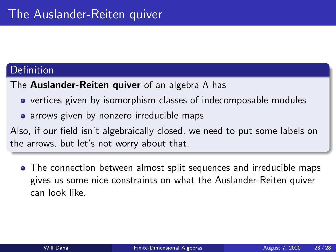The Auslander-Reiten quiver of an algebra Λ has

- vertices given by isomorphism classes of indecomposable modules
- arrows given by nonzero irreducible maps

Also, if our field isn't algebraically closed, we need to put some labels on the arrows, but let's not worry about that.

• The connection between almost split sequences and irreducible maps gives us some nice constraints on what the Auslander-Reiten quiver can look like.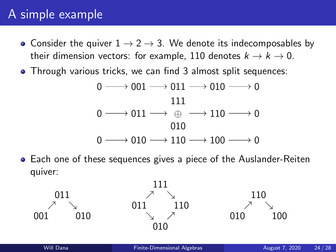# A simple example

- Consider the quiver  $1 \rightarrow 2 \rightarrow 3$ . We denote its indecomposables by their dimension vectors: for example, 110 denotes  $k \to k \to 0$ .
- Through various tricks, we can find 3 almost split sequences:

$$
0 \longrightarrow 001 \longrightarrow 011 \longrightarrow 010 \longrightarrow 0
$$
  
\n
$$
0 \longrightarrow 011 \longrightarrow \oplus \longrightarrow 110 \longrightarrow 0
$$
  
\n
$$
0 \longrightarrow 010 \longrightarrow 110 \longrightarrow 100 \longrightarrow 0
$$
  
\n
$$
0 \longrightarrow 010 \longrightarrow 110 \longrightarrow 100 \longrightarrow 0
$$

Each one of these sequences gives a piece of the Auslander-Reiten quiver:

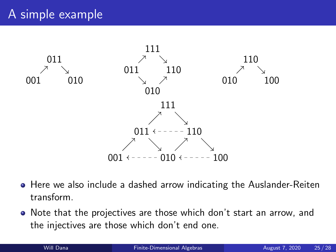# A simple example



- Here we also include a dashed arrow indicating the Auslander-Reiten transform.
- Note that the projectives are those which don't start an arrow, and the injectives are those which don't end one.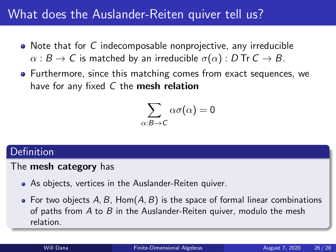# What does the Auslander-Reiten quiver tell us?

- Note that for C indecomposable nonprojective, any irreducible  $\alpha : B \to C$  is matched by an irreducible  $\sigma(\alpha) : D$  Tr  $C \to B$ .
- Furthermore, since this matching comes from exact sequences, we have for any fixed  $C$  the **mesh relation**

$$
\sum_{\alpha:\mathcal{B}\rightarrow\mathcal{C}}\alpha\sigma(\alpha)=0
$$

## **Definition**

### The mesh category has

- As objects, vertices in the Auslander-Reiten quiver.
- For two objects  $A, B$ , Hom $(A, B)$  is the space of formal linear combinations of paths from  $A$  to  $B$  in the Auslander-Reiten quiver, modulo the mesh relation.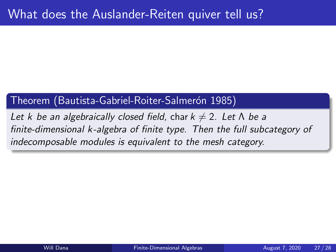# Theorem (Bautista-Gabriel-Roiter-Salmerón 1985)

Let k be an algebraically closed field, char  $k \neq 2$ . Let  $\Lambda$  be a finite-dimensional k-algebra of finite type. Then the full subcategory of indecomposable modules is equivalent to the mesh category.